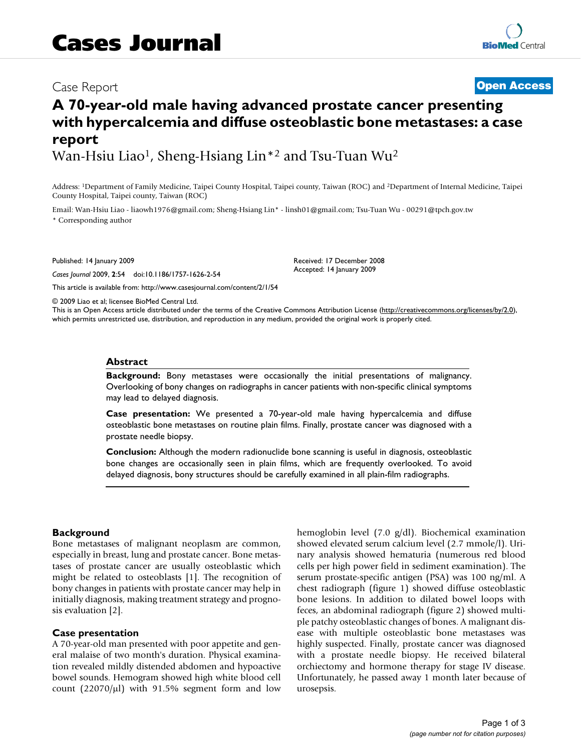# Case Report **[Open Access](http://www.biomedcentral.com/info/about/charter/)**

# **A 70-year-old male having advanced prostate cancer presenting with hypercalcemia and diffuse osteoblastic bone metastases: a case report**

Wan-Hsiu Liao<sup>1</sup>, Sheng-Hsiang Lin<sup>\*2</sup> and Tsu-Tuan Wu<sup>2</sup>

Address: 1Department of Family Medicine, Taipei County Hospital, Taipei county, Taiwan (ROC) and 2Department of Internal Medicine, Taipei County Hospital, Taipei county, Taiwan (ROC)

Email: Wan-Hsiu Liao - liaowh1976@gmail.com; Sheng-Hsiang Lin\* - linsh01@gmail.com; Tsu-Tuan Wu - 00291@tpch.gov.tw \* Corresponding author

Published: 14 January 2009

*Cases Journal* 2009, **2**:54 doi:10.1186/1757-1626-2-54

[This article is available from: http://www.casesjournal.com/content/2/1/54](http://www.casesjournal.com/content/2/1/54)

Received: 17 December 2008 Accepted: 14 January 2009

© 2009 Liao et al; licensee BioMed Central Ltd.

This is an Open Access article distributed under the terms of the Creative Commons Attribution License [\(http://creativecommons.org/licenses/by/2.0\)](http://creativecommons.org/licenses/by/2.0), which permits unrestricted use, distribution, and reproduction in any medium, provided the original work is properly cited.

#### **Abstract**

**Background:** Bony metastases were occasionally the initial presentations of malignancy. Overlooking of bony changes on radiographs in cancer patients with non-specific clinical symptoms may lead to delayed diagnosis.

**Case presentation:** We presented a 70-year-old male having hypercalcemia and diffuse osteoblastic bone metastases on routine plain films. Finally, prostate cancer was diagnosed with a prostate needle biopsy.

**Conclusion:** Although the modern radionuclide bone scanning is useful in diagnosis, osteoblastic bone changes are occasionally seen in plain films, which are frequently overlooked. To avoid delayed diagnosis, bony structures should be carefully examined in all plain-film radiographs.

#### **Background**

Bone metastases of malignant neoplasm are common, especially in breast, lung and prostate cancer. Bone metastases of prostate cancer are usually osteoblastic which might be related to osteoblasts [1]. The recognition of bony changes in patients with prostate cancer may help in initially diagnosis, making treatment strategy and prognosis evaluation [2].

#### **Case presentation**

A 70-year-old man presented with poor appetite and general malaise of two month's duration. Physical examination revealed mildly distended abdomen and hypoactive bowel sounds. Hemogram showed high white blood cell count  $(22070/\mu l)$  with 91.5% segment form and low hemoglobin level (7.0 g/dl). Biochemical examination showed elevated serum calcium level (2.7 mmole/l). Urinary analysis showed hematuria (numerous red blood cells per high power field in sediment examination). The serum prostate-specific antigen (PSA) was 100 ng/ml. A chest radiograph (figure 1) showed diffuse osteoblastic bone lesions. In addition to dilated bowel loops with feces, an abdominal radiograph (figure 2) showed multiple patchy osteoblastic changes of bones. A malignant disease with multiple osteoblastic bone metastases was highly suspected. Finally, prostate cancer was diagnosed with a prostate needle biopsy. He received bilateral orchiectomy and hormone therapy for stage IV disease. Unfortunately, he passed away 1 month later because of urosepsis.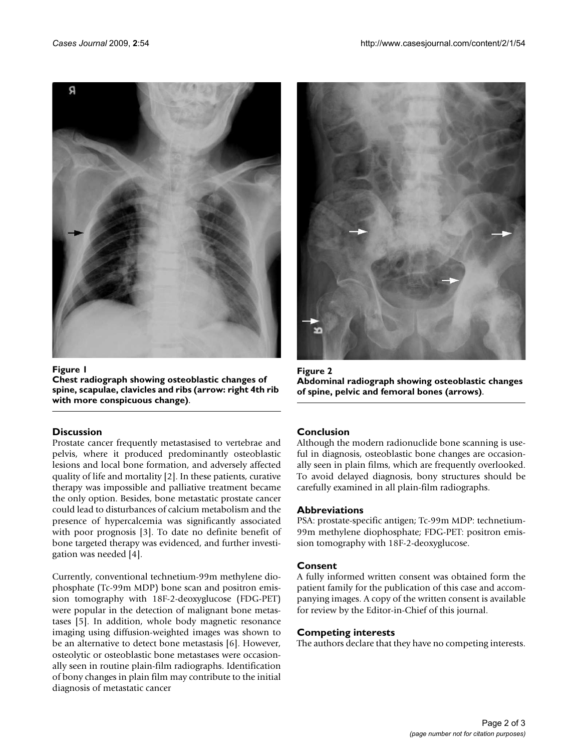

Figure 1 **Chest radiograph showing osteoblastic changes of spine, scapulae, clavicles and ribs (arrow: right 4th rib with more conspicuous change)**.

# **Discussion**

Prostate cancer frequently metastasised to vertebrae and pelvis, where it produced predominantly osteoblastic lesions and local bone formation, and adversely affected quality of life and mortality [2]. In these patients, curative therapy was impossible and palliative treatment became the only option. Besides, bone metastatic prostate cancer could lead to disturbances of calcium metabolism and the presence of hypercalcemia was significantly associated with poor prognosis [3]. To date no definite benefit of bone targeted therapy was evidenced, and further investigation was needed [4].

Currently, conventional technetium-99m methylene diophosphate (Tc-99m MDP) bone scan and positron emission tomography with 18F-2-deoxyglucose (FDG-PET) were popular in the detection of malignant bone metastases [5]. In addition, whole body magnetic resonance imaging using diffusion-weighted images was shown to be an alternative to detect bone metastasis [6]. However, osteolytic or osteoblastic bone metastases were occasionally seen in routine plain-film radiographs. Identification of bony changes in plain film may contribute to the initial diagnosis of metastatic cancer



Figure 2 **Abdominal radiograph showing osteoblastic changes of spine, pelvic and femoral bones (arrows)**.

# **Conclusion**

Although the modern radionuclide bone scanning is useful in diagnosis, osteoblastic bone changes are occasionally seen in plain films, which are frequently overlooked. To avoid delayed diagnosis, bony structures should be carefully examined in all plain-film radiographs.

# **Abbreviations**

PSA: prostate-specific antigen; Tc-99m MDP: technetium-99m methylene diophosphate; FDG-PET: positron emission tomography with 18F-2-deoxyglucose.

# **Consent**

A fully informed written consent was obtained form the patient family for the publication of this case and accompanying images. A copy of the written consent is available for review by the Editor-in-Chief of this journal.

# **Competing interests**

The authors declare that they have no competing interests.